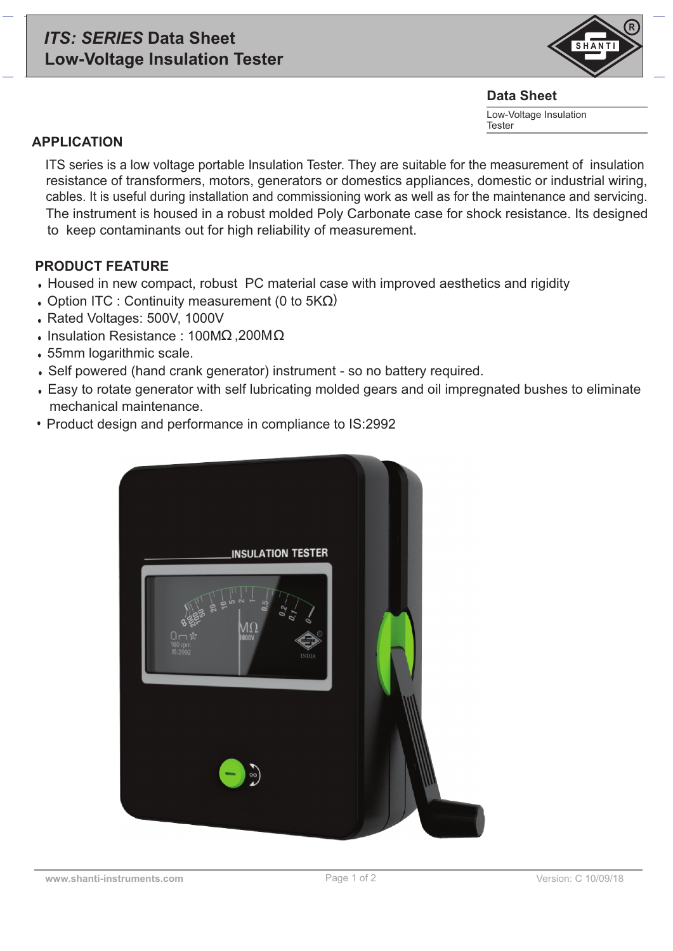# *ITS: SERIES* **Data Sheet Low-Voltage Insulation Tester**



#### **Data Sheet**

Low-Voltage Insulation Tester

### **APPLICATION**

ITS series is a low voltage portable Insulation Tester. They are suitable for the measurement of insulation resistance of transformers, motors, generators or domestics appliances, domestic or industrial wiring, cables. It is useful during installation and commissioning work as well as for the maintenance and servicing. The instrument is housed in a robust molded Poly Carbonate case for shock resistance. Its designed to keep contaminants out for high reliability of measurement.

## **PRODUCT FEATURE**

- Housed in new compact, robust PC material case with improved aesthetics and rigidity
- Option ITC : Continuity measurement (0 to  $5K\Omega$ )
- Rated Voltages: 500V, 1000V
- Insulation Resistance : 100MΩ, 200MΩ
- 55mm logarithmic scale.
- Self powered (hand crank generator) instrument so no battery required.
- Easy to rotate generator with self lubricating molded gears and oil impregnated bushes to eliminate mechanical maintenance.
- Product design and performance in compliance to IS:2992